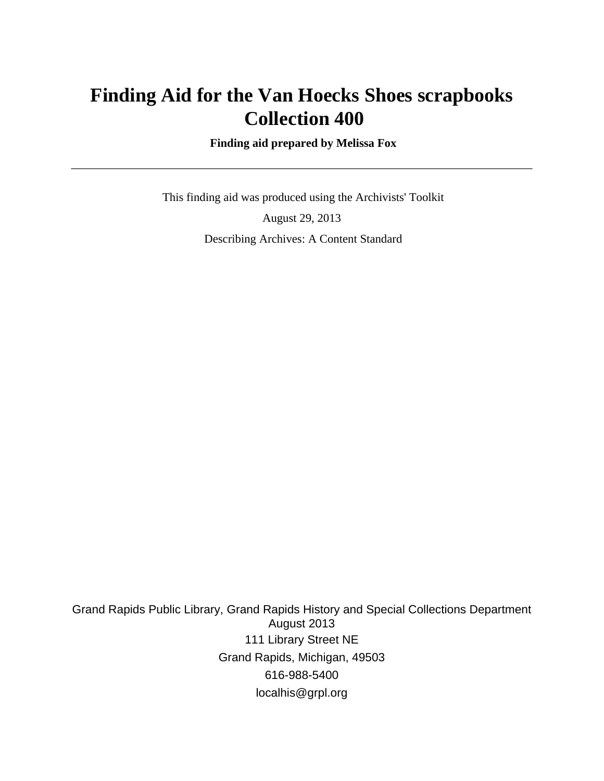## **Finding Aid for the Van Hoecks Shoes scrapbooks Collection 400**

 **Finding aid prepared by Melissa Fox**

 This finding aid was produced using the Archivists' Toolkit August 29, 2013 Describing Archives: A Content Standard

Grand Rapids Public Library, Grand Rapids History and Special Collections Department August 2013 111 Library Street NE Grand Rapids, Michigan, 49503 616-988-5400 localhis@grpl.org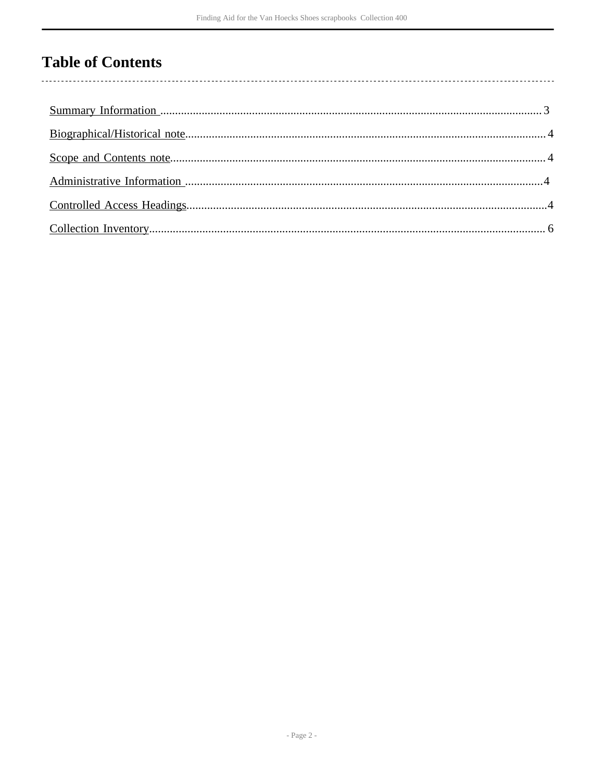# **Table of Contents**

l,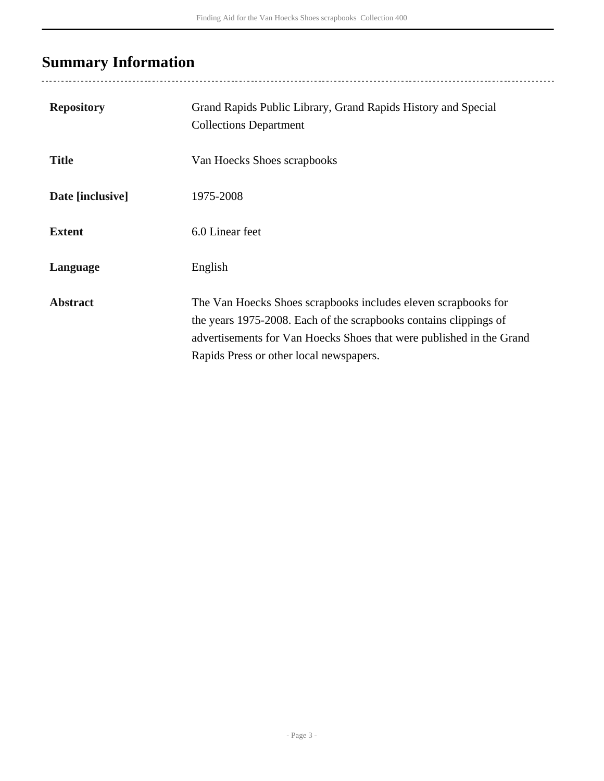# <span id="page-2-0"></span>**Summary Information**

| <b>Repository</b> | Grand Rapids Public Library, Grand Rapids History and Special<br><b>Collections Department</b>                                                                                                                                                         |
|-------------------|--------------------------------------------------------------------------------------------------------------------------------------------------------------------------------------------------------------------------------------------------------|
| <b>Title</b>      | Van Hoecks Shoes scrapbooks                                                                                                                                                                                                                            |
| Date [inclusive]  | 1975-2008                                                                                                                                                                                                                                              |
| <b>Extent</b>     | 6.0 Linear feet                                                                                                                                                                                                                                        |
| Language          | English                                                                                                                                                                                                                                                |
| <b>Abstract</b>   | The Van Hoecks Shoes scrapbooks includes eleven scrapbooks for<br>the years 1975-2008. Each of the scrapbooks contains clippings of<br>advertisements for Van Hoecks Shoes that were published in the Grand<br>Rapids Press or other local newspapers. |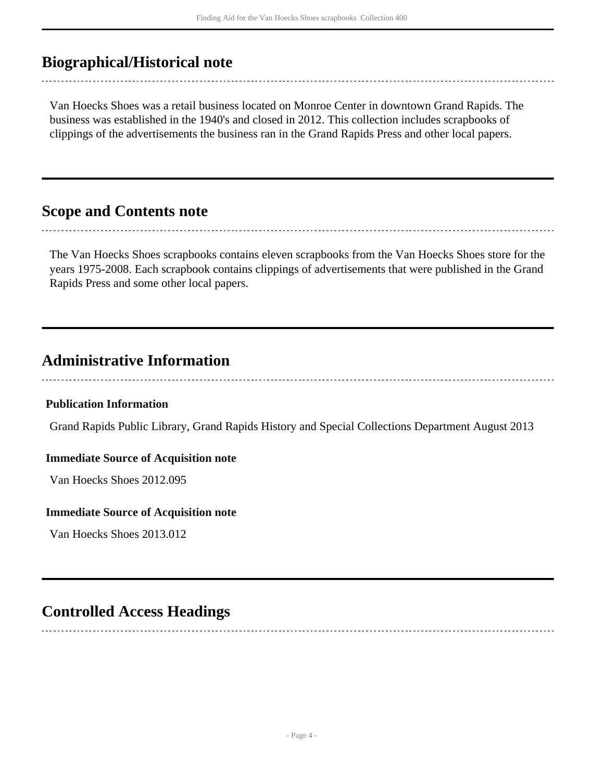## <span id="page-3-0"></span>**Biographical/Historical note**

Van Hoecks Shoes was a retail business located on Monroe Center in downtown Grand Rapids. The business was established in the 1940's and closed in 2012. This collection includes scrapbooks of clippings of the advertisements the business ran in the Grand Rapids Press and other local papers.

## <span id="page-3-1"></span>**Scope and Contents note**

The Van Hoecks Shoes scrapbooks contains eleven scrapbooks from the Van Hoecks Shoes store for the years 1975-2008. Each scrapbook contains clippings of advertisements that were published in the Grand Rapids Press and some other local papers.

## <span id="page-3-2"></span>**Administrative Information**

### **Publication Information**

Grand Rapids Public Library, Grand Rapids History and Special Collections Department August 2013

#### **Immediate Source of Acquisition note**

Van Hoecks Shoes 2012.095

#### **Immediate Source of Acquisition note**

Van Hoecks Shoes 2013.012

### <span id="page-3-3"></span>**Controlled Access Headings**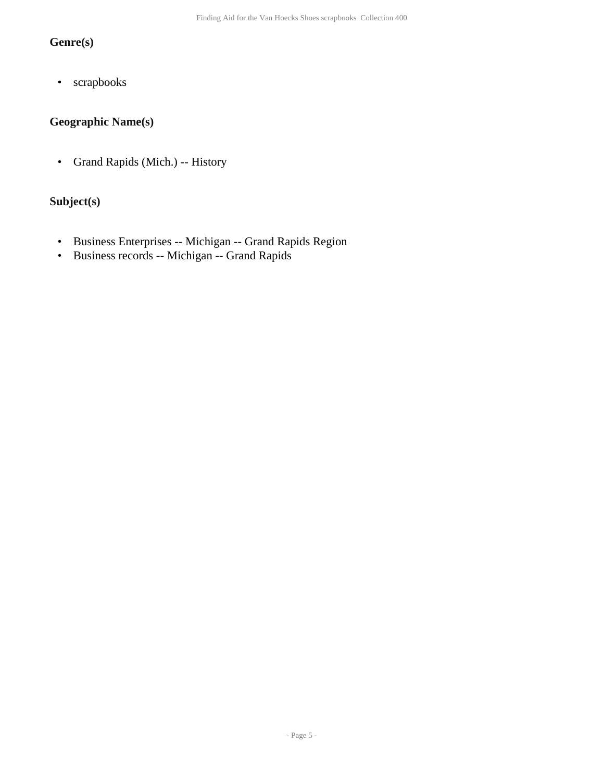### **Genre(s)**

• scrapbooks

### **Geographic Name(s)**

• Grand Rapids (Mich.) -- History

#### **Subject(s)**

- Business Enterprises -- Michigan -- Grand Rapids Region
- Business records -- Michigan -- Grand Rapids